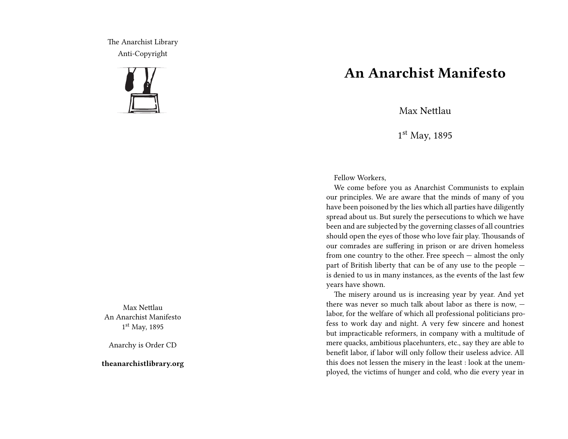The Anarchist Library Anti-Copyright



Max Nettlau An Anarchist Manifesto 1 st May, 1895

Anarchy is Order CD

**theanarchistlibrary.org**

## **An Anarchist Manifesto**

Max Nettlau

1 st May, 1895

Fellow Workers,

We come before you as Anarchist Communists to explain our principles. We are aware that the minds of many of you have been poisoned by the lies which all parties have diligently spread about us. But surely the persecutions to which we have been and are subjected by the governing classes of all countries should open the eyes of those who love fair play. Thousands of our comrades are suffering in prison or are driven homeless from one country to the other. Free speech — almost the only part of British liberty that can be of any use to the people is denied to us in many instances, as the events of the last few years have shown.

The misery around us is increasing year by year. And yet there was never so much talk about labor as there is now, labor, for the welfare of which all professional politicians profess to work day and night. A very few sincere and honest but impracticable reformers, in company with a multitude of mere quacks, ambitious placehunters, etc., say they are able to benefit labor, if labor will only follow their useless advice. All this does not lessen the misery in the least : look at the unemployed, the victims of hunger and cold, who die every year in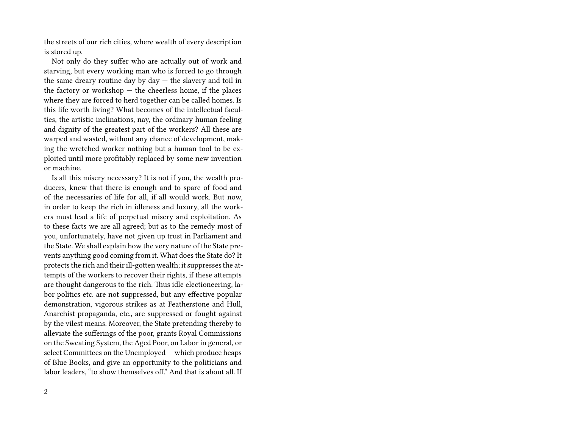the streets of our rich cities, where wealth of every description is stored up.

Not only do they suffer who are actually out of work and starving, but every working man who is forced to go through the same dreary routine day by day — the slavery and toil in the factory or workshop  $-$  the cheerless home, if the places where they are forced to herd together can be called homes. Is this life worth living? What becomes of the intellectual faculties, the artistic inclinations, nay, the ordinary human feeling and dignity of the greatest part of the workers? All these are warped and wasted, without any chance of development, making the wretched worker nothing but a human tool to be exploited until more profitably replaced by some new invention or machine.

Is all this misery necessary? It is not if you, the wealth producers, knew that there is enough and to spare of food and of the necessaries of life for all, if all would work. But now, in order to keep the rich in idleness and luxury, all the workers must lead a life of perpetual misery and exploitation. As to these facts we are all agreed; but as to the remedy most of you, unfortunately, have not given up trust in Parliament and the State. We shall explain how the very nature of the State prevents anything good coming from it. What does the State do? It protects the rich and their ill-gotten wealth; it suppresses the attempts of the workers to recover their rights, if these attempts are thought dangerous to the rich. Thus idle electioneering, labor politics etc. are not suppressed, but any effective popular demonstration, vigorous strikes as at Featherstone and Hull, Anarchist propaganda, etc., are suppressed or fought against by the vilest means. Moreover, the State pretending thereby to alleviate the sufferings of the poor, grants Royal Commissions on the Sweating System, the Aged Poor, on Labor in general, or select Committees on the Unemployed — which produce heaps of Blue Books, and give an opportunity to the politicians and labor leaders, "to show themselves off." And that is about all. If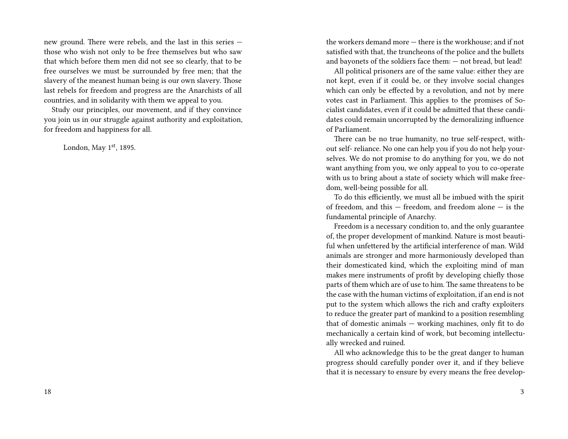new ground. There were rebels, and the last in this series those who wish not only to be free themselves but who saw that which before them men did not see so clearly, that to be free ourselves we must be surrounded by free men; that the slavery of the meanest human being is our own slavery. Those last rebels for freedom and progress are the Anarchists of all countries, and in solidarity with them we appeal to you.

Study our principles, our movement, and if they convince you join us in our struggle against authority and exploitation, for freedom and happiness for all.

London, May  $1<sup>st</sup>$ , 1895.

the workers demand more — there is the workhouse; and if not satisfied with that, the truncheons of the police and the bullets and bayonets of the soldiers face them: — not bread, but lead!

All political prisoners are of the same value: either they are not kept, even if it could be, or they involve social changes which can only be effected by a revolution, and not by mere votes cast in Parliament. This applies to the promises of Socialist candidates, even if it could be admitted that these candidates could remain uncorrupted by the demoralizing influence of Parliament.

There can be no true humanity, no true self-respect, without self- reliance. No one can help you if you do not help yourselves. We do not promise to do anything for you, we do not want anything from you, we only appeal to you to co-operate with us to bring about a state of society which will make freedom, well-being possible for all.

To do this efficiently, we must all be imbued with the spirit of freedom, and this — freedom, and freedom alone — is the fundamental principle of Anarchy.

Freedom is a necessary condition to, and the only guarantee of, the proper development of mankind. Nature is most beautiful when unfettered by the artificial interference of man. Wild animals are stronger and more harmoniously developed than their domesticated kind, which the exploiting mind of man makes mere instruments of profit by developing chiefly those parts of them which are of use to him. The same threatens to be the case with the human victims of exploitation, if an end is not put to the system which allows the rich and crafty exploiters to reduce the greater part of mankind to a position resembling that of domestic animals — working machines, only fit to do mechanically a certain kind of work, but becoming intellectually wrecked and ruined.

All who acknowledge this to be the great danger to human progress should carefully ponder over it, and if they believe that it is necessary to ensure by every means the free develop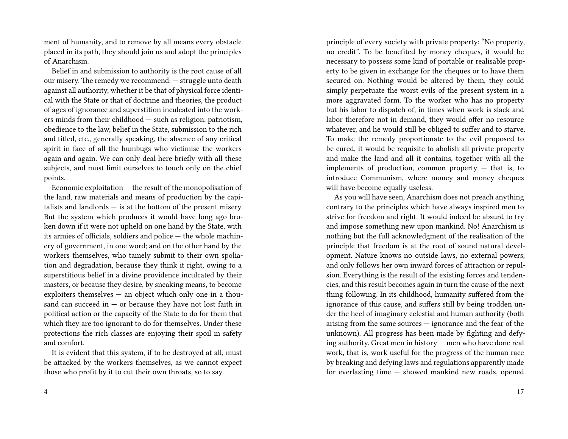ment of humanity, and to remove by all means every obstacle placed in its path, they should join us and adopt the principles of Anarchism.

Belief in and submission to authority is the root cause of all our misery. The remedy we recommend: — struggle unto death against all authority, whether it be that of physical force identical with the State or that of doctrine and theories, the product of ages of ignorance and superstition inculcated into the workers minds from their childhood — such as religion, patriotism, obedience to the law, belief in the State, submission to the rich and titled, etc., generally speaking, the absence of any critical spirit in face of all the humbugs who victimise the workers again and again. We can only deal here briefly with all these subjects, and must limit ourselves to touch only on the chief points.

Economic exploitation — the result of the monopolisation of the land, raw materials and means of production by the capitalists and landlords — is at the bottom of the present misery. But the system which produces it would have long ago broken down if it were not upheld on one hand by the State, with its armies of officials, soldiers and police — the whole machinery of government, in one word; and on the other hand by the workers themselves, who tamely submit to their own spoliation and degradation, because they think it right, owing to a superstitious belief in a divine providence inculcated by their masters, or because they desire, by sneaking means, to become exploiters themselves — an object which only one in a thousand can succeed in  $-$  or because they have not lost faith in political action or the capacity of the State to do for them that which they are too ignorant to do for themselves. Under these protections the rich classes are enjoying their spoil in safety and comfort.

It is evident that this system, if to be destroyed at all, must be attacked by the workers themselves, as we cannot expect those who profit by it to cut their own throats, so to say.

principle of every society with private property: "No property, no credit". To be benefited by money cheques, it would be necessary to possess some kind of portable or realisable property to be given in exchange for the cheques or to have them secured on. Nothing would be altered by them, they could simply perpetuate the worst evils of the present system in a more aggravated form. To the worker who has no property but his labor to dispatch of, in times when work is slack and labor therefore not in demand, they would offer no resource whatever, and he would still be obliged to suffer and to starve. To make the remedy proportionate to the evil proposed to be cured, it would be requisite to abolish all private property and make the land and all it contains, together with all the implements of production, common property  $-$  that is, to introduce Communism, where money and money cheques will have become equally useless.

As you will have seen, Anarchism does not preach anything contrary to the principles which have always inspired men to strive for freedom and right. It would indeed be absurd to try and impose something new upon mankind. No! Anarchism is nothing but the full acknowledgment of the realisation of the principle that freedom is at the root of sound natural development. Nature knows no outside laws, no external powers, and only follows her own inward forces of attraction or repulsion. Everything is the result of the existing forces and tendencies, and this result becomes again in turn the cause of the next thing following. In its childhood, humanity suffered from the ignorance of this cause, and suffers still by being trodden under the heel of imaginary celestial and human authority (both arising from the same sources — ignorance and the fear of the unknown). All progress has been made by fighting and defying authority. Great men in history — men who have done real work, that is, work useful for the progress of the human race by breaking and defying laws and regulations apparently made for everlasting time — showed mankind new roads, opened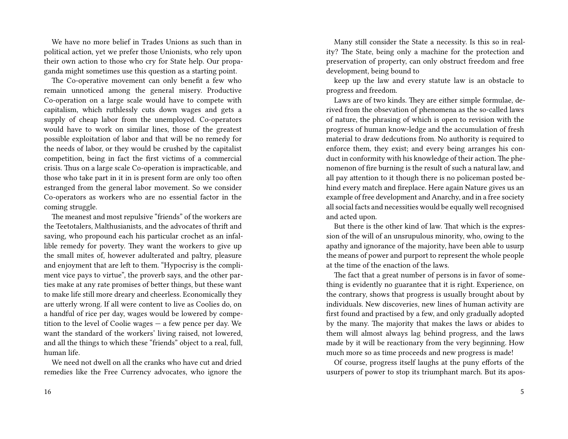We have no more belief in Trades Unions as such than in political action, yet we prefer those Unionists, who rely upon their own action to those who cry for State help. Our propaganda might sometimes use this question as a starting point.

The Co-operative movement can only benefit a few who remain unnoticed among the general misery. Productive Co-operation on a large scale would have to compete with capitalism, which ruthlessly cuts down wages and gets a supply of cheap labor from the unemployed. Co-operators would have to work on similar lines, those of the greatest possible exploitation of labor and that will be no remedy for the needs of labor, or they would be crushed by the capitalist competition, being in fact the first victims of a commercial crisis. Thus on a large scale Co-operation is impracticable, and those who take part in it in is present form are only too often estranged from the general labor movement. So we consider Co-operators as workers who are no essential factor in the coming struggle.

The meanest and most repulsive "friends" of the workers are the Teetotalers, Malthusianists, and the advocates of thrift and saving, who propound each his particular crochet as an infallible remedy for poverty. They want the workers to give up the small mites of, however adulterated and paltry, pleasure and enjoyment that are left to them. "Hypocrisy is the compliment vice pays to virtue", the proverb says, and the other parties make at any rate promises of better things, but these want to make life still more dreary and cheerless. Economically they are utterly wrong. If all were content to live as Coolies do, on a handful of rice per day, wages would be lowered by competition to the level of Coolie wages — a few pence per day. We want the standard of the workers' living raised, not lowered, and all the things to which these "friends" object to a real, full, human life.

We need not dwell on all the cranks who have cut and dried remedies like the Free Currency advocates, who ignore the

Many still consider the State a necessity. Is this so in reality? The State, being only a machine for the protection and preservation of property, can only obstruct freedom and free development, being bound to

keep up the law and every statute law is an obstacle to progress and freedom.

Laws are of two kinds. They are either simple formulae, derived from the obsevation of phenomena as the so-called laws of nature, the phrasing of which is open to revision with the progress of human know-ledge and the accumulation of fresh material to draw dedcutions from. No authority is required to enforce them, they exist; and every being arranges his conduct in conformity with his knowledge of their action. The phenomenon of fire burning is the result of such a natural law, and all pay attention to it though there is no policeman posted behind every match and fireplace. Here again Nature gives us an example of free development and Anarchy, and in a free society all social facts and necessities would be equally well recognised and acted upon.

But there is the other kind of law. That which is the expression of the will of an unsrupulous minority, who, owing to the apathy and ignorance of the majority, have been able to usurp the means of power and purport to represent the whole people at the time of the enaction of the laws.

The fact that a great number of persons is in favor of something is evidently no guarantee that it is right. Experience, on the contrary, shows that progress is usually brought about by individuals. New discoveries, new lines of human activity are first found and practised by a few, and only gradually adopted by the many. The majority that makes the laws or abides to them will almost always lag behind progress, and the laws made by it will be reactionary from the very beginning. How much more so as time proceeds and new progress is made!

Of course, progress itself laughs at the puny efforts of the usurpers of power to stop its triumphant march. But its apos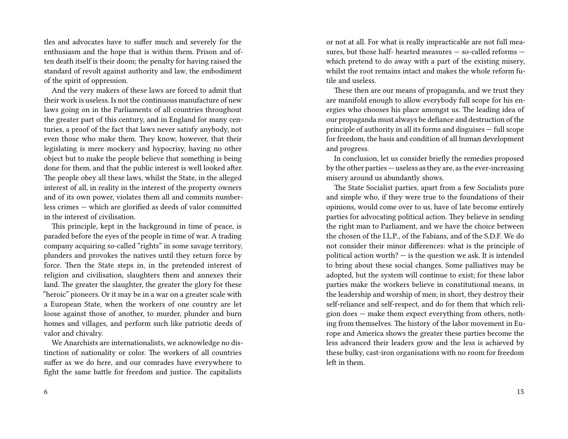tles and advocates have to suffer much and severely for the enthusiasm and the hope that is within them. Prison and often death itself is their doom; the penalty for having raised the standard of revolt against authority and law, the embodiment of the spirit of oppression.

And the very makers of these laws are forced to admit that their work is useless. Is not the continuous manufacture of new laws going on in the Parliaments of all countries throughout the greater part of this century, and in England for many centuries, a proof of the fact that laws never satisfy anybody, not even those who make them. They know, however, that their legislating is mere mockery and hypocrisy, having no other object but to make the people believe that something is being done for them, and that the public interest is well looked after. The people obey all these laws, whilst the State, in the alleged interest of all, in reality in the interest of the property owners and of its own power, violates them all and commits numberless crimes — which are glorified as deeds of valor committed in the interest of civilisation.

This principle, kept in the background in time of peace, is paraded before the eyes of the people in time of war. A trading company acquiring so-called "rights" in some savage territory, plunders and provokes the natives until they return force by force. Then the State steps in, in the pretended interest of religion and civilisation, slaughters them and annexes their land. The greater the slaughter, the greater the glory for these "heroic" pioneers. Or it may be in a war on a greater scale with a European State, when the workers of one country are let loose against those of another, to murder, plunder and burn homes and villages, and perform such like patriotic deeds of valor and chivalry.

We Anarchists are internationalists, we acknowledge no distinction of nationality or color. The workers of all countries suffer as we do here, and our comrades have everywhere to fight the same battle for freedom and justice. The capitalists

or not at all. For what is really impracticable are not full measures, but those half- hearted measures — so-called reforms which pretend to do away with a part of the existing misery, whilst the root remains intact and makes the whole reform futile and useless.

These then are our means of propaganda, and we trust they are manifold enough to allow everybody full scope for his energies who chooses his place amongst us. The leading idea of our propaganda must always be defiance and destruction of the principle of authority in all its forms and disguises — full scope for freedom, the basis and condition of all human development and progress.

In conclusion, let us consider briefly the remedies proposed by the other parties — useless as they are, as the ever-increasing misery around us abundantly shows.

The State Socialist parties, apart from a few Socialists pure and simple who, if they were true to the foundations of their opinions, would come over to us, have of late become entirely parties for advocating political action. They believe in sending the right man to Parliament, and we have the choice between the chosen of the I.L.P., of the Fabians, and of the S.D.F. We do not consider their minor differences: what is the principle of political action worth? — is the question we ask. It is intended to bring about these social changes. Some palliatives may be adopted, but the system will continue to exist; for these labor parties make the workers believe in constitutional means, in the leadership and worship of men; in short, they destroy their self-reliance and self-respect, and do for them that which religion does — make them expect everything from others, nothing from themselves. The history of the labor movement in Europe and America shows the greater these parties become the less advanced their leaders grow and the less is achieved by these bulky, cast-iron organisations with no room for freedom left in them.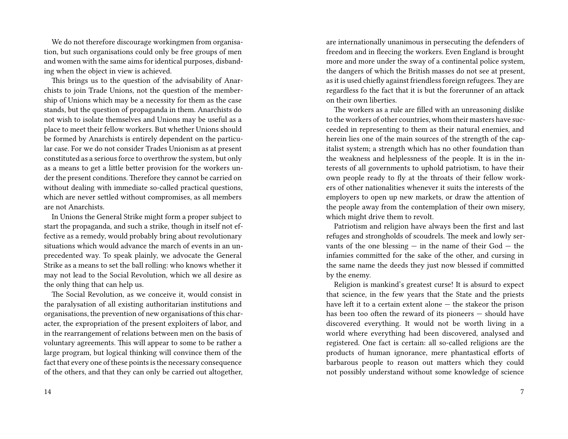We do not therefore discourage workingmen from organisation, but such organisations could only be free groups of men and women with the same aims for identical purposes, disbanding when the object in view is achieved.

This brings us to the question of the advisability of Anarchists to join Trade Unions, not the question of the membership of Unions which may be a necessity for them as the case stands, but the question of propaganda in them. Anarchists do not wish to isolate themselves and Unions may be useful as a place to meet their fellow workers. But whether Unions should be formed by Anarchists is entirely dependent on the particular case. For we do not consider Trades Unionism as at present constituted as a serious force to overthrow the system, but only as a means to get a little better provision for the workers under the present conditions. Therefore they cannot be carried on without dealing with immediate so-called practical questions, which are never settled without compromises, as all members are not Anarchists.

In Unions the General Strike might form a proper subject to start the propaganda, and such a strike, though in itself not effective as a remedy, would probably bring about revolutionary situations which would advance the march of events in an unprecedented way. To speak plainly, we advocate the General Strike as a means to set the ball rolling: who knows whether it may not lead to the Social Revolution, which we all desire as the only thing that can help us.

The Social Revolution, as we conceive it, would consist in the paralysation of all existing authoritarian institutions and organisations, the prevention of new organisations of this character, the expropriation of the present exploiters of labor, and in the rearrangement of relations between men on the basis of voluntary agreements. This will appear to some to be rather a large program, but logical thinking will convince them of the fact that every one of these points is the necessary consequence of the others, and that they can only be carried out altogether,

are internationally unanimous in persecuting the defenders of freedom and in fleecing the workers. Even England is brought more and more under the sway of a continental police system, the dangers of which the British masses do not see at present, as it is used chiefly against friendless foreign refugees. They are regardless fo the fact that it is but the forerunner of an attack on their own liberties.

The workers as a rule are filled with an unreasoning dislike to the workers of other countries, whom their masters have succeeded in representing to them as their natural enemies, and herein lies one of the main sources of the strength of the capitalist system; a strength which has no other foundation than the weakness and helplessness of the people. It is in the interests of all governments to uphold patriotism, to have their own people ready to fly at the throats of their fellow workers of other nationalities whenever it suits the interests of the employers to open up new markets, or draw the attention of the people away from the contemplation of their own misery, which might drive them to revolt.

Patriotism and religion have always been the first and last refuges and strongholds of scoudrels. The meek and lowly servants of the one blessing  $-$  in the name of their God  $-$  the infamies committed for the sake of the other, and cursing in the same name the deeds they just now blessed if committed by the enemy.

Religion is mankind's greatest curse! It is absurd to expect that science, in the few years that the State and the priests have left it to a certain extent alone — the stakeor the prison has been too often the reward of its pioneers — should have discovered everything. It would not be worth living in a world where everything had been discovered, analysed and registered. One fact is certain: all so-called religions are the products of human ignorance, mere phantastical efforts of barbarous people to reason out matters which they could not possibly understand without some knowledge of science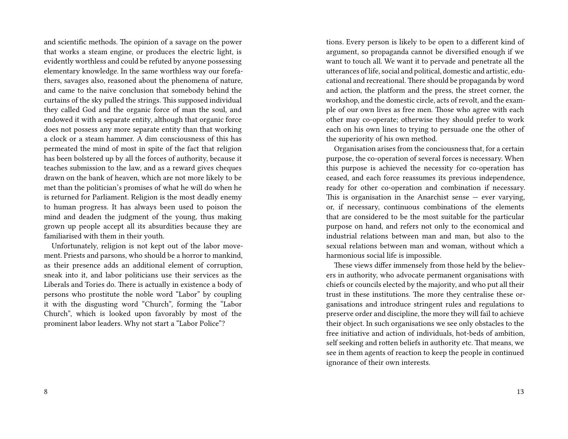and scientific methods. The opinion of a savage on the power that works a steam engine, or produces the electric light, is evidently worthless and could be refuted by anyone possessing elementary knowledge. In the same worthless way our forefathers, savages also, reasoned about the phenomena of nature, and came to the naive conclusion that somebody behind the curtains of the sky pulled the strings. This supposed individual they called God and the organic force of man the soul, and endowed it with a separate entity, although that organic force does not possess any more separate entity than that working a clock or a steam hammer. A dim consciousness of this has permeated the mind of most in spite of the fact that religion has been bolstered up by all the forces of authority, because it teaches submission to the law, and as a reward gives cheques drawn on the bank of heaven, which are not more likely to be met than the politician's promises of what he will do when he is returned for Parliament. Religion is the most deadly enemy to human progress. It has always been used to poison the mind and deaden the judgment of the young, thus making grown up people accept all its absurdities because they are familiarised with them in their youth.

Unfortunately, religion is not kept out of the labor movement. Priests and parsons, who should be a horror to mankind, as their presence adds an additional element of corruption, sneak into it, and labor politicians use their services as the Liberals and Tories do. There is actually in existence a body of persons who prostitute the noble word "Labor" by coupling it with the disgusting word "Church", forming the "Labor Church", which is looked upon favorably by most of the prominent labor leaders. Why not start a "Labor Police"?

tions. Every person is likely to be open to a different kind of argument, so propaganda cannot be diversified enough if we want to touch all. We want it to pervade and penetrate all the utterances of life, social and political, domestic and artistic, educational and recreational. There should be propaganda by word and action, the platform and the press, the street corner, the workshop, and the domestic circle, acts of revolt, and the example of our own lives as free men. Those who agree with each other may co-operate; otherwise they should prefer to work each on his own lines to trying to persuade one the other of the superiority of his own method.

Organisation arises from the conciousness that, for a certain purpose, the co-operation of several forces is necessary. When this purpose is achieved the necessity for co-operation has ceased, and each force reassumes its previous independence, ready for other co-operation and combination if necessary. This is organisation in the Anarchist sense  $-$  ever varying, or, if necessary, continuous combinations of the elements that are considered to be the most suitable for the particular purpose on hand, and refers not only to the economical and industrial relations between man and man, but also to the sexual relations between man and woman, without which a harmonious social life is impossible.

These views differ immensely from those held by the believers in authority, who advocate permanent organisations with chiefs or councils elected by the majority, and who put all their trust in these institutions. The more they centralise these organisations and introduce stringent rules and regulations to preserve order and discipline, the more they will fail to achieve their object. In such organisations we see only obstacles to the free initiative and action of individuals, hot-beds of ambition, self seeking and rotten beliefs in authority etc. That means, we see in them agents of reaction to keep the people in continued ignorance of their own interests.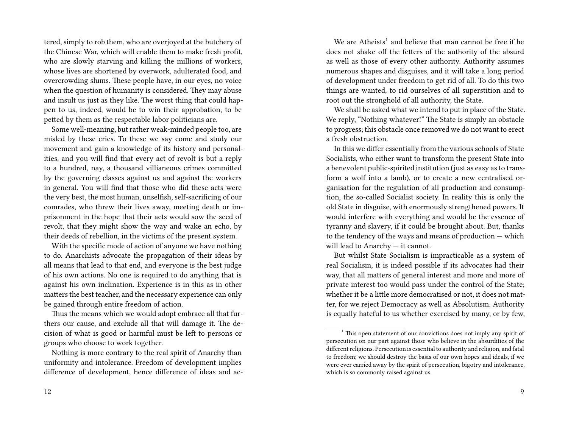tered, simply to rob them, who are overjoyed at the butchery of the Chinese War, which will enable them to make fresh profit, who are slowly starving and killing the millions of workers, whose lives are shortened by overwork, adulterated food, and overcrowding slums. These people have, in our eyes, no voice when the question of humanity is considered. They may abuse and insult us just as they like. The worst thing that could happen to us, indeed, would be to win their approbation, to be petted by them as the respectable labor politicians are.

Some well-meaning, but rather weak-minded people too, are misled by these cries. To these we say come and study our movement and gain a knowledge of its history and personalities, and you will find that every act of revolt is but a reply to a hundred, nay, a thousand villianeous crimes committed by the governing classes against us and against the workers in general. You will find that those who did these acts were the very best, the most human, unselfish, self-sacrificing of our comrades, who threw their lives away, meeting death or imprisonment in the hope that their acts would sow the seed of revolt, that they might show the way and wake an echo, by their deeds of rebellion, in the victims of the present system.

With the specific mode of action of anyone we have nothing to do. Anarchists advocate the propagation of their ideas by all means that lead to that end, and everyone is the best judge of his own actions. No one is required to do anything that is against his own inclination. Experience is in this as in other matters the best teacher, and the necessary experience can only be gained through entire freedom of action.

Thus the means which we would adopt embrace all that furthers our cause, and exclude all that will damage it. The decision of what is good or harmful must be left to persons or groups who choose to work together.

Nothing is more contrary to the real spirit of Anarchy than uniformity and intolerance. Freedom of development implies difference of development, hence difference of ideas and ac-

We are  $A$ theists<sup>1</sup> and believe that man cannot be free if he does not shake off the fetters of the authority of the absurd as well as those of every other authority. Authority assumes numerous shapes and disguises, and it will take a long period of development under freedom to get rid of all. To do this two things are wanted, to rid ourselves of all superstition and to root out the stronghold of all authority, the State.

We shall be asked what we intend to put in place of the State. We reply, "Nothing whatever!" The State is simply an obstacle to progress; this obstacle once removed we do not want to erect a fresh obstruction.

In this we differ essentially from the various schools of State Socialists, who either want to transform the present State into a benevolent public-spirited institution (just as easy as to transform a wolf into a lamb), or to create a new centralised organisation for the regulation of all production and consumption, the so-called Socialist society. In reality this is only the old State in disguise, with enormously strengthened powers. It would interfere with everything and would be the essence of tyranny and slavery, if it could be brought about. But, thanks to the tendency of the ways and means of production — which will lead to Anarchy — it cannot.

But whilst State Socialism is impracticable as a system of real Socialism, it is indeed possible if its advocates had their way, that all matters of general interest and more and more of private interest too would pass under the control of the State; whether it be a little more democratised or not, it does not matter, for we reject Democracy as well as Absolutism. Authority is equally hateful to us whether exercised by many, or by few,

 $1$ . This open statement of our convictions does not imply any spirit of persecution on our part against those who believe in the absurdities of the different religions. Persecution is essential to authority and religion, and fatal to freedom; we should destroy the basis of our own hopes and ideals, if we were ever carried away by the spirit of persecution, bigotry and intolerance, which is so commonly raised against us.